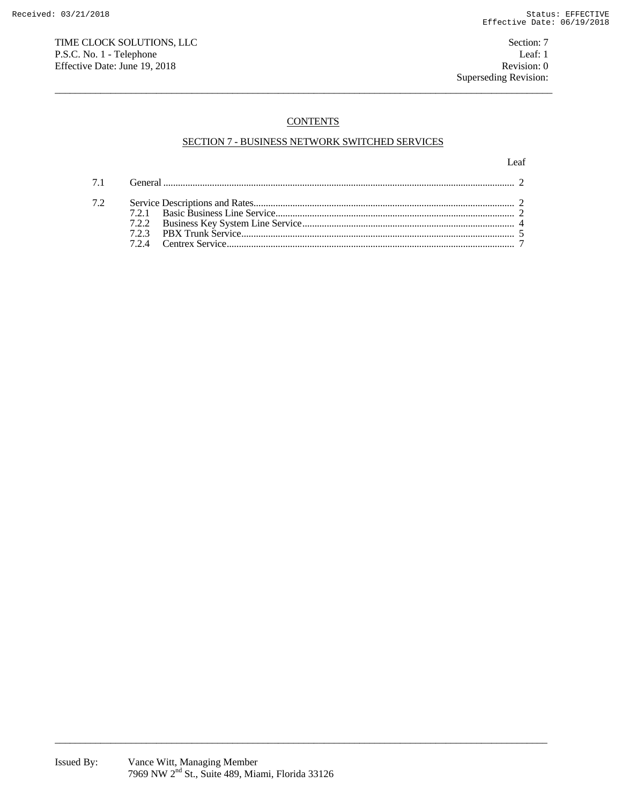# TIME CLOCK SOLUTIONS, LLC Section: 7 P.S.C. No. 1 - Telephone Leaf: 1<br>
Effective Date: June 19, 2018 Revision: 0 Effective Date: June 19, 2018

# **CONTENTS**

 $\overline{a}$  , and the state of the state of the state of the state of the state of the state of the state of the state of the state of the state of the state of the state of the state of the state of the state of the state o

# SECTION 7 - BUSINESS NETWORK SWITCHED SERVICES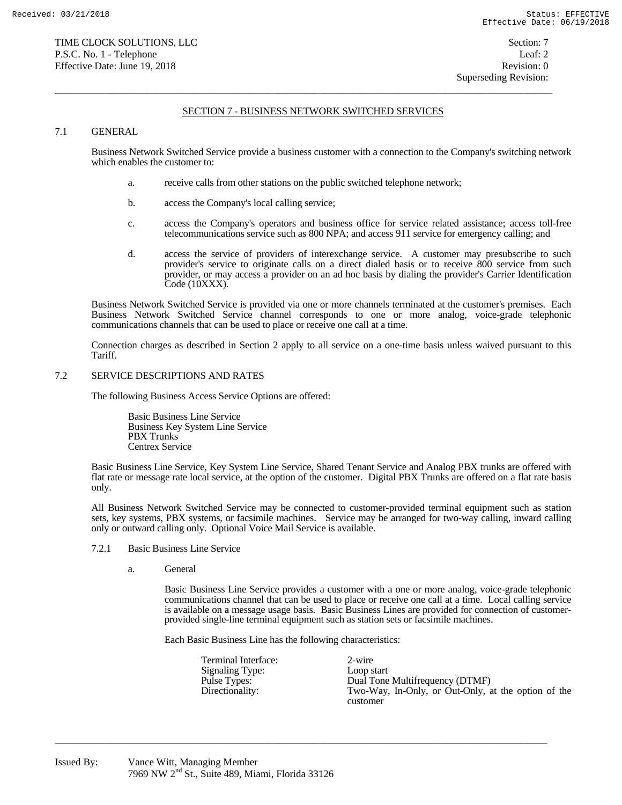$\overline{a}$  , and the state of the state of the state of the state of the state of the state of the state of the state of the state of the state of the state of the state of the state of the state of the state of the state o

### 7.1 GENERAL

 Business Network Switched Service provide a business customer with a connection to the Company's switching network which enables the customer to:

- a. receive calls from other stations on the public switched telephone network;
- b. access the Company's local calling service;
- c. access the Company's operators and business office for service related assistance; access toll-free telecommunications service such as 800 NPA; and access 911 service for emergency calling; and
- d. access the service of providers of interexchange service. A customer may presubscribe to such provider's service to originate calls on a direct dialed basis or to receive 800 service from such provider, or may access a provider on an ad hoc basis by dialing the provider's Carrier Identification Code (10XXX).

 Business Network Switched Service is provided via one or more channels terminated at the customer's premises. Each Business Network Switched Service channel corresponds to one or more analog, voice-grade telephonic communications channels that can be used to place or receive one call at a time.

 Connection charges as described in Section 2 apply to all service on a one-time basis unless waived pursuant to this Tariff.

## 7.2 SERVICE DESCRIPTIONS AND RATES

The following Business Access Service Options are offered:

 Basic Business Line Service Business Key System Line Service PBX Trunks Centrex Service

 Basic Business Line Service, Key System Line Service, Shared Tenant Service and Analog PBX trunks are offered with flat rate or message rate local service, at the option of the customer. Digital PBX Trunks are offered on a flat rate basis only.

 All Business Network Switched Service may be connected to customer-provided terminal equipment such as station sets, key systems, PBX systems, or facsimile machines. Service may be arranged for two-way calling, inward calling only or outward calling only. Optional Voice Mail Service is available.

- 7.2.1 Basic Business Line Service
	- a. General

 Basic Business Line Service provides a customer with a one or more analog, voice-grade telephonic communications channel that can be used to place or receive one call at a time. Local calling service is available on a message usage basis. Basic Business Lines are provided for connection of customerprovided single-line terminal equipment such as station sets or facsimile machines.

Each Basic Business Line has the following characteristics:

| Terminal Interface:<br>Signaling Type:<br>Pulse Types: | 2-wire<br>Loop start<br>Dual Tone Multifrequency (DTMF) |
|--------------------------------------------------------|---------------------------------------------------------|
| Directionality:                                        | Two-Way, In-Only, or Out-Only, at the option of the     |
|                                                        | customer                                                |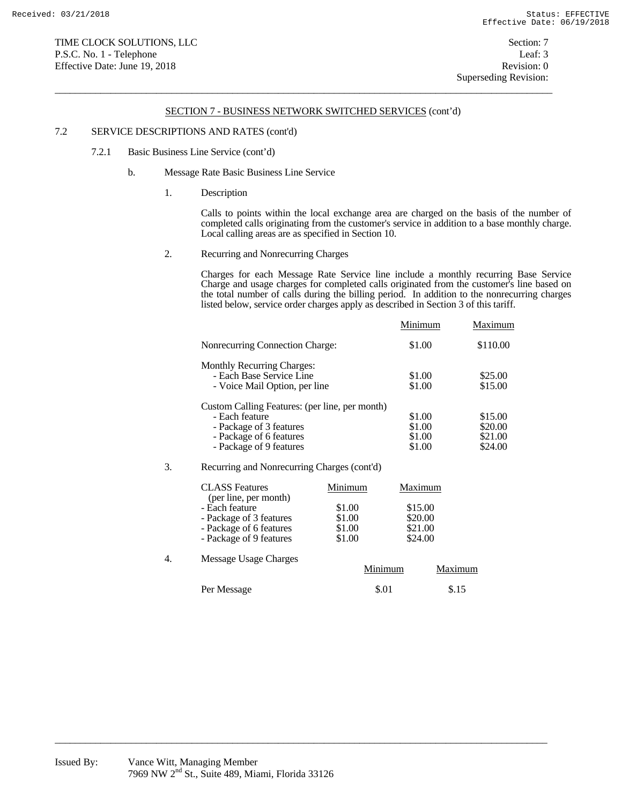$\overline{a}$  , and the state of the state of the state of the state of the state of the state of the state of the state of the state of the state of the state of the state of the state of the state of the state of the state o

### 7.2 SERVICE DESCRIPTIONS AND RATES (cont'd)

- 7.2.1 Basic Business Line Service (cont'd)
	- b. Message Rate Basic Business Line Service
		- 1. Description

 Calls to points within the local exchange area are charged on the basis of the number of completed calls originating from the customer's service in addition to a base monthly charge. Local calling areas are as specified in Section 10.

2. Recurring and Nonrecurring Charges

 Charges for each Message Rate Service line include a monthly recurring Base Service Charge and usage charges for completed calls originated from the customer's line based on the total number of calls during the billing period. In addition to the nonrecurring charges listed below, service order charges apply as described in Section 3 of this tariff.

|                                                | Minimum | Maximum  |
|------------------------------------------------|---------|----------|
| <b>Nonrecurring Connection Charge:</b>         | \$1.00  | \$110.00 |
| <b>Monthly Recurring Charges:</b>              |         |          |
| - Each Base Service Line                       | \$1.00  | \$25.00  |
| - Voice Mail Option, per line                  | \$1.00  | \$15.00  |
| Custom Calling Features: (per line, per month) |         |          |
| - Each feature                                 | \$1.00  | \$15.00  |
| - Package of 3 features                        | \$1.00  | \$20.00  |
| - Package of 6 features                        | \$1.00  | \$21.00  |
| - Package of 9 features                        | \$1.00  | \$24.00  |
|                                                |         |          |

#### 3. Recurring and Nonrecurring Charges (cont'd)

|    | <b>CLASS</b> Features<br>(per line, per month)                                                  | Minimum                              | Maximum                                  |         |
|----|-------------------------------------------------------------------------------------------------|--------------------------------------|------------------------------------------|---------|
|    | - Each feature<br>- Package of 3 features<br>- Package of 6 features<br>- Package of 9 features | \$1.00<br>\$1.00<br>\$1.00<br>\$1.00 | \$15.00<br>\$20.00<br>\$21.00<br>\$24.00 |         |
| 4. | Message Usage Charges                                                                           | Minimum                              |                                          | Maximum |
|    | Per Message                                                                                     | \$.01                                |                                          | \$.15   |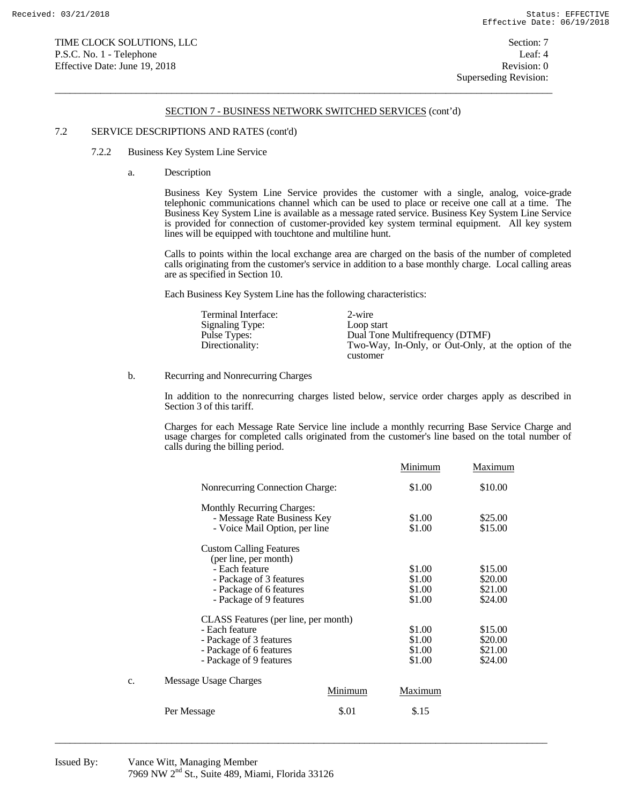$\overline{a}$  , and the state of the state of the state of the state of the state of the state of the state of the state of the state of the state of the state of the state of the state of the state of the state of the state o

#### 7.2 SERVICE DESCRIPTIONS AND RATES (cont'd)

- 7.2.2 Business Key System Line Service
	- a. Description

 Business Key System Line Service provides the customer with a single, analog, voice-grade telephonic communications channel which can be used to place or receive one call at a time. The Business Key System Line is available as a message rated service. Business Key System Line Service is provided for connection of customer-provided key system terminal equipment. All key system lines will be equipped with touchtone and multiline hunt.

 Calls to points within the local exchange area are charged on the basis of the number of completed calls originating from the customer's service in addition to a base monthly charge. Local calling areas are as specified in Section 10.

Each Business Key System Line has the following characteristics:

| Terminal Interface:<br>Signaling Type:<br>Pulse Types:<br>Directionality: | 2-wire<br>Loop start<br>Dual Tone Multifrequency (DTMF)<br>Two-Way, In-Only, or Out-Only, at the option of the |
|---------------------------------------------------------------------------|----------------------------------------------------------------------------------------------------------------|
|                                                                           | customer                                                                                                       |

b. Recurring and Nonrecurring Charges

 In addition to the nonrecurring charges listed below, service order charges apply as described in Section 3 of this tariff.

 Charges for each Message Rate Service line include a monthly recurring Base Service Charge and usage charges for completed calls originated from the customer's line based on the total number of calls during the billing period.

|    |                                                                                                                                 |         | Minimum                              | Maximum                                  |
|----|---------------------------------------------------------------------------------------------------------------------------------|---------|--------------------------------------|------------------------------------------|
|    | <b>Nonrecurring Connection Charge:</b>                                                                                          |         | \$1.00                               | \$10.00                                  |
|    | <b>Monthly Recurring Charges:</b><br>- Message Rate Business Key<br>- Voice Mail Option, per line                               |         | \$1.00<br>\$1.00                     | \$25.00<br>\$15.00                       |
|    | <b>Custom Calling Features</b><br>(per line, per month)<br>- Each feature<br>- Package of 3 features<br>- Package of 6 features |         | \$1.00<br>\$1.00<br>\$1.00           | \$15.00<br>\$20.00<br>\$21.00            |
|    | - Package of 9 features<br>CLASS Features (per line, per month)                                                                 |         | \$1.00                               | \$24.00                                  |
|    | - Each feature<br>- Package of 3 features<br>- Package of 6 features<br>- Package of 9 features                                 |         | \$1.00<br>\$1.00<br>\$1.00<br>\$1.00 | \$15.00<br>\$20.00<br>\$21.00<br>\$24.00 |
| c. | Message Usage Charges                                                                                                           | Minimum | Maximum                              |                                          |
|    | Per Message                                                                                                                     | \$.01   | \$.15                                |                                          |
|    |                                                                                                                                 |         |                                      |                                          |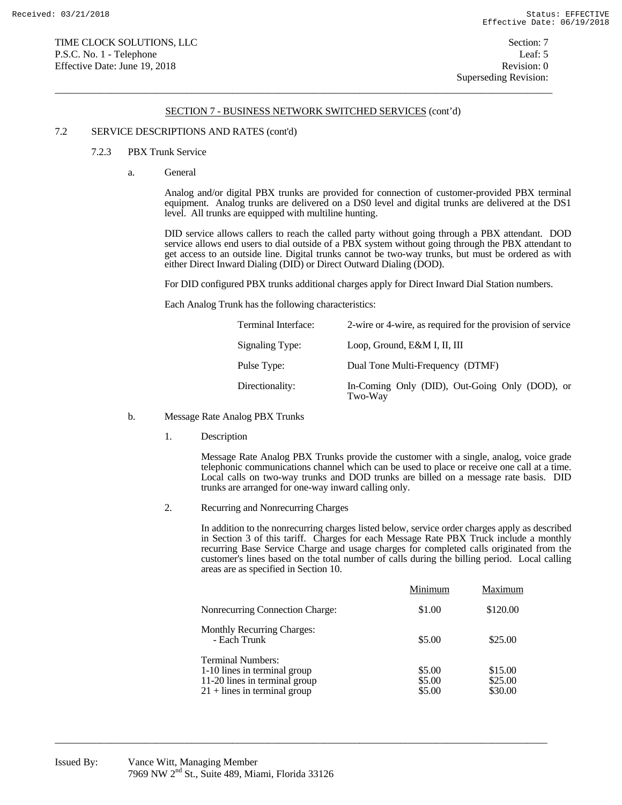$\overline{a}$  , and the state of the state of the state of the state of the state of the state of the state of the state of the state of the state of the state of the state of the state of the state of the state of the state o

#### 7.2 SERVICE DESCRIPTIONS AND RATES (cont'd)

#### 7.2.3 PBX Trunk Service

a. General

 Analog and/or digital PBX trunks are provided for connection of customer-provided PBX terminal equipment. Analog trunks are delivered on a DS0 level and digital trunks are delivered at the DS1 level. All trunks are equipped with multiline hunting.

 DID service allows callers to reach the called party without going through a PBX attendant. DOD service allows end users to dial outside of a PBX system without going through the PBX attendant to get access to an outside line. Digital trunks cannot be two-way trunks, but must be ordered as with either Direct Inward Dialing (DID) or Direct Outward Dialing (DOD).

For DID configured PBX trunks additional charges apply for Direct Inward Dial Station numbers.

Each Analog Trunk has the following characteristics:

| Terminal Interface: | 2-wire or 4-wire, as required for the provision of service |
|---------------------|------------------------------------------------------------|
| Signaling Type:     | Loop, Ground, E&M I, II, III                               |
| Pulse Type:         | Dual Tone Multi-Frequency (DTMF)                           |
| Directionality:     | In-Coming Only (DID), Out-Going Only (DOD), or<br>Two-Way  |

- b. Message Rate Analog PBX Trunks
	- 1. Description

 Message Rate Analog PBX Trunks provide the customer with a single, analog, voice grade telephonic communications channel which can be used to place or receive one call at a time. Local calls on two-way trunks and DOD trunks are billed on a message rate basis. DID trunks are arranged for one-way inward calling only.

2. Recurring and Nonrecurring Charges

 In addition to the nonrecurring charges listed below, service order charges apply as described in Section 3 of this tariff. Charges for each Message Rate PBX Truck include a monthly recurring Base Service Charge and usage charges for completed calls originated from the customer's lines based on the total number of calls during the billing period. Local calling areas are as specified in Section 10.

|                                                                                                                             | Minimum                    | Maximum                       |
|-----------------------------------------------------------------------------------------------------------------------------|----------------------------|-------------------------------|
| Nonrecurring Connection Charge:                                                                                             | \$1.00                     | \$120.00                      |
| <b>Monthly Recurring Charges:</b><br>- Each Trunk                                                                           | \$5.00                     | \$25.00                       |
| <b>Terminal Numbers:</b><br>1-10 lines in terminal group<br>11-20 lines in terminal group<br>$21 +$ lines in terminal group | \$5.00<br>\$5.00<br>\$5.00 | \$15.00<br>\$25.00<br>\$30.00 |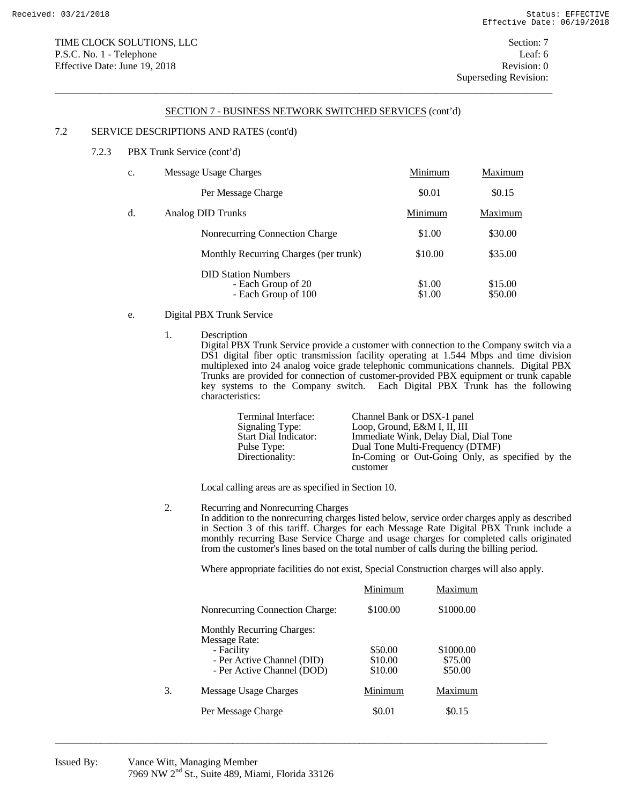$\overline{a}$  , and the state of the state of the state of the state of the state of the state of the state of the state of the state of the state of the state of the state of the state of the state of the state of the state o

## 7.2 SERVICE DESCRIPTIONS AND RATES (cont'd)

7.2.3 PBX Trunk Service (cont'd)

| c. | Message Usage Charges                                                   | Minimum          | Maximum            |
|----|-------------------------------------------------------------------------|------------------|--------------------|
|    | Per Message Charge                                                      | \$0.01           | \$0.15             |
| d. | Analog DID Trunks                                                       | Minimum          | Maximum            |
|    | Nonrecurring Connection Charge                                          | \$1.00           | \$30.00            |
|    | Monthly Recurring Charges (per trunk)                                   | \$10.00          | \$35.00            |
|    | <b>DID Station Numbers</b><br>- Each Group of 20<br>- Each Group of 100 | \$1.00<br>\$1.00 | \$15.00<br>\$50.00 |

- e. Digital PBX Trunk Service
	- 1. Description

 Digital PBX Trunk Service provide a customer with connection to the Company switch via a DS1 digital fiber optic transmission facility operating at 1.544 Mbps and time division multiplexed into 24 analog voice grade telephonic communications channels. Digital PBX Trunks are provided for connection of customer-provided PBX equipment or trunk capable key systems to the Company switch. Each Digital PBX Trunk has the following characteristics:

| Terminal Interface:          | Channel Bank or DSX-1 panel                      |
|------------------------------|--------------------------------------------------|
| Signaling Type:              | Loop, Ground, E&M I, II, III                     |
| <b>Start Dial Indicator:</b> | Immediate Wink, Delay Dial, Dial Tone            |
| Pulse Type:                  | Dual Tone Multi-Frequency (DTMF)                 |
| Directionality:              | In-Coming or Out-Going Only, as specified by the |
|                              | customer                                         |

Local calling areas are as specified in Section 10.

2. Recurring and Nonrecurring Charges

 In addition to the nonrecurring charges listed below, service order charges apply as described in Section 3 of this tariff. Charges for each Message Rate Digital PBX Trunk include a monthly recurring Base Service Charge and usage charges for completed calls originated from the customer's lines based on the total number of calls during the billing period.

Where appropriate facilities do not exist, Special Construction charges will also apply.

|                                          | Minimum            | Maximum              |
|------------------------------------------|--------------------|----------------------|
| Nonrecurring Connection Charge:          | \$100.00           | \$1000.00            |
| <b>Monthly Recurring Charges:</b>        |                    |                      |
| Message Rate:                            |                    |                      |
| - Facility<br>- Per Active Channel (DID) | \$50.00<br>\$10.00 | \$1000.00<br>\$75.00 |
| - Per Active Channel (DOD)               | \$10.00            | \$50.00              |
| 3.<br>Message Usage Charges              | Minimum            | Maximum              |
| Per Message Charge                       | \$0.01             | \$0.15               |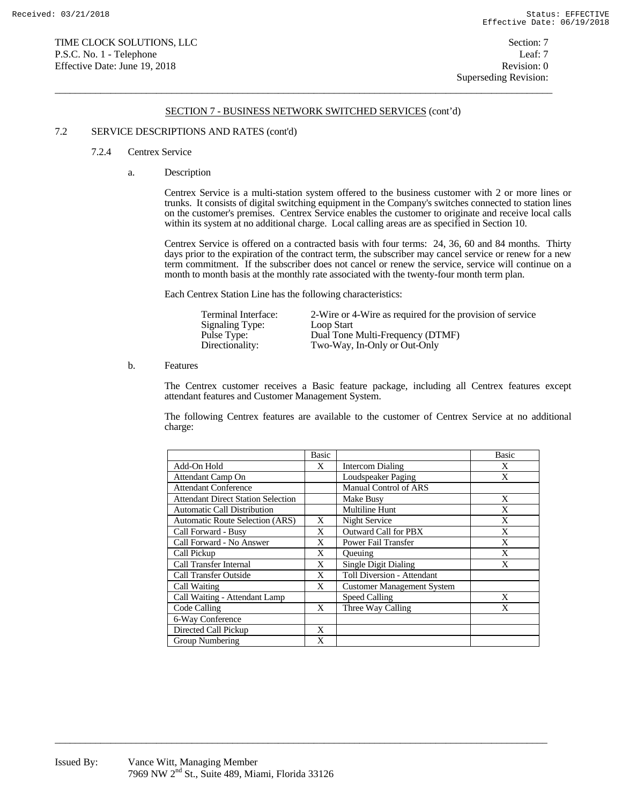$\overline{a}$  , and the state of the state of the state of the state of the state of the state of the state of the state of the state of the state of the state of the state of the state of the state of the state of the state o

### 7.2 SERVICE DESCRIPTIONS AND RATES (cont'd)

#### 7.2.4 Centrex Service

a. Description

 Centrex Service is a multi-station system offered to the business customer with 2 or more lines or trunks. It consists of digital switching equipment in the Company's switches connected to station lines on the customer's premises. Centrex Service enables the customer to originate and receive local calls within its system at no additional charge. Local calling areas are as specified in Section 10.

 Centrex Service is offered on a contracted basis with four terms: 24, 36, 60 and 84 months. Thirty days prior to the expiration of the contract term, the subscriber may cancel service or renew for a new term commitment. If the subscriber does not cancel or renew the service, service will continue on a month to month basis at the monthly rate associated with the twenty-four month term plan.

Each Centrex Station Line has the following characteristics:

| Terminal Interface:<br>Signaling Type:<br>Pulse Type:<br>Directionality: | 2-Wire or 4-Wire as required for the provision of service<br>Loop Start<br>Dual Tone Multi-Frequency (DTMF)<br>Two-Way, In-Only or Out-Only |
|--------------------------------------------------------------------------|---------------------------------------------------------------------------------------------------------------------------------------------|
|                                                                          |                                                                                                                                             |

b. Features

 The Centrex customer receives a Basic feature package, including all Centrex features except attendant features and Customer Management System.

The following Centrex features are available to the customer of Centrex Service at no additional charge:

|                                           | <b>Basic</b> |                                   | <b>Basic</b> |
|-------------------------------------------|--------------|-----------------------------------|--------------|
| Add-On Hold                               | X            | Intercom Dialing                  | X            |
| Attendant Camp On                         |              | Loudspeaker Paging                | X            |
| <b>Attendant Conference</b>               |              | <b>Manual Control of ARS</b>      |              |
| <b>Attendant Direct Station Selection</b> |              | Make Busy                         | X            |
| <b>Automatic Call Distribution</b>        |              | <b>Multiline Hunt</b>             | X            |
| <b>Automatic Route Selection (ARS)</b>    | X            | Night Service                     | X            |
| Call Forward - Busy                       | X            | Outward Call for PBX              | X            |
| Call Forward - No Answer                  | X            | Power Fail Transfer               | X            |
| Call Pickup                               | X            | <b>Oueuing</b>                    | X            |
| Call Transfer Internal                    | X            | <b>Single Digit Dialing</b>       | X            |
| <b>Call Transfer Outside</b>              | X            | Toll Diversion - Attendant        |              |
| Call Waiting                              | X            | <b>Customer Management System</b> |              |
| Call Waiting - Attendant Lamp             |              | Speed Calling                     | X            |
| Code Calling                              | X            | Three Way Calling                 | X            |
| 6-Way Conference                          |              |                                   |              |
| Directed Call Pickup                      | X            |                                   |              |
| Group Numbering                           | X            |                                   |              |